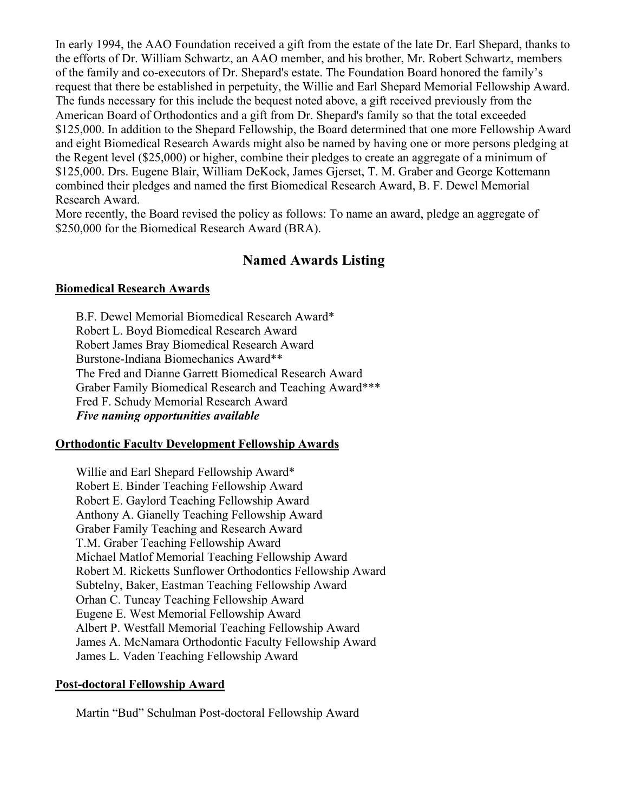In early 1994, the AAO Foundation received a gift from the estate of the late Dr. Earl Shepard, thanks to the efforts of Dr. William Schwartz, an AAO member, and his brother, Mr. Robert Schwartz, members of the family and co-executors of Dr. Shepard's estate. The Foundation Board honored the family's request that there be established in perpetuity, the Willie and Earl Shepard Memorial Fellowship Award. The funds necessary for this include the bequest noted above, a gift received previously from the American Board of Orthodontics and a gift from Dr. Shepard's family so that the total exceeded \$125,000. In addition to the Shepard Fellowship, the Board determined that one more Fellowship Award and eight Biomedical Research Awards might also be named by having one or more persons pledging at the Regent level (\$25,000) or higher, combine their pledges to create an aggregate of a minimum of \$125,000. Drs. Eugene Blair, William DeKock, James Gjerset, T. M. Graber and George Kottemann combined their pledges and named the first Biomedical Research Award, B. F. Dewel Memorial Research Award.

More recently, the Board revised the policy as follows: To name an award, pledge an aggregate of \$250,000 for the Biomedical Research Award (BRA).

# **Named Awards Listing**

## **Biomedical Research Awards**

B.F. Dewel Memorial Biomedical Research Award\* Robert L. Boyd Biomedical Research Award Robert James Bray Biomedical Research Award Burstone-Indiana Biomechanics Award\*\* The Fred and Dianne Garrett Biomedical Research Award Graber Family Biomedical Research and Teaching Award\*\*\* Fred F. Schudy Memorial Research Award *Five naming opportunities available*

# **Orthodontic Faculty Development Fellowship Awards**

Willie and Earl Shepard Fellowship Award\* Robert E. Binder Teaching Fellowship Award Robert E. Gaylord Teaching Fellowship Award Anthony A. Gianelly Teaching Fellowship Award Graber Family Teaching and Research Award T.M. Graber Teaching Fellowship Award Michael Matlof Memorial Teaching Fellowship Award Robert M. Ricketts Sunflower Orthodontics Fellowship Award Subtelny, Baker, Eastman Teaching Fellowship Award Orhan C. Tuncay Teaching Fellowship Award Eugene E. West Memorial Fellowship Award Albert P. Westfall Memorial Teaching Fellowship Award James A. McNamara Orthodontic Faculty Fellowship Award James L. Vaden Teaching Fellowship Award

#### **Post-doctoral Fellowship Award**

Martin "Bud" Schulman Post-doctoral Fellowship Award